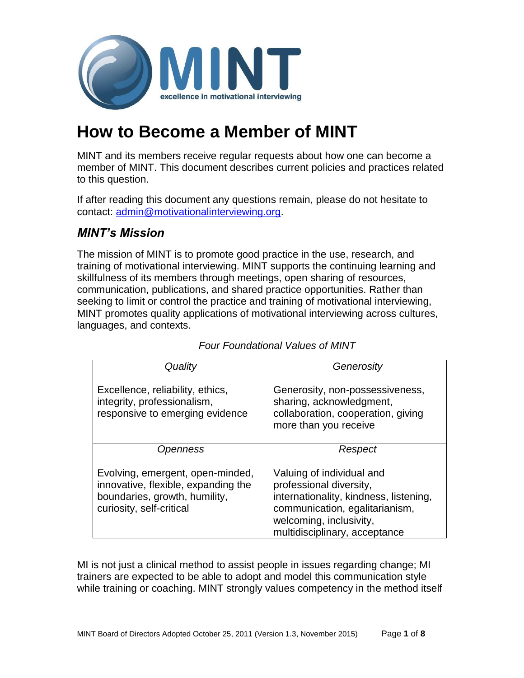

# **How to Become a Member of MINT**

MINT and its members receive regular requests about how one can become a member of MINT. This document describes current policies and practices related to this question.

If after reading this document any questions remain, please do not hesitate to contact: [admin@motivationalinterviewing.org.](mailto:admin@motivationalinterviewing.org)

## *MINT's Mission*

The mission of MINT is to promote good practice in the use, research, and training of motivational interviewing. MINT supports the continuing learning and skillfulness of its members through meetings, open sharing of resources, communication, publications, and shared practice opportunities. Rather than seeking to limit or control the practice and training of motivational interviewing, MINT promotes quality applications of motivational interviewing across cultures, languages, and contexts.

| Quality                                                                                                                              | Generosity                                                                                                                                                                                   |
|--------------------------------------------------------------------------------------------------------------------------------------|----------------------------------------------------------------------------------------------------------------------------------------------------------------------------------------------|
| Excellence, reliability, ethics,<br>integrity, professionalism,<br>responsive to emerging evidence                                   | Generosity, non-possessiveness,<br>sharing, acknowledgment,<br>collaboration, cooperation, giving<br>more than you receive                                                                   |
| Openness                                                                                                                             | Respect                                                                                                                                                                                      |
| Evolving, emergent, open-minded,<br>innovative, flexible, expanding the<br>boundaries, growth, humility,<br>curiosity, self-critical | Valuing of individual and<br>professional diversity,<br>internationality, kindness, listening,<br>communication, egalitarianism,<br>welcoming, inclusivity,<br>multidisciplinary, acceptance |

#### *Four Foundational Values of MINT*

MI is not just a clinical method to assist people in issues regarding change; MI trainers are expected to be able to adopt and model this communication style while training or coaching. MINT strongly values competency in the method itself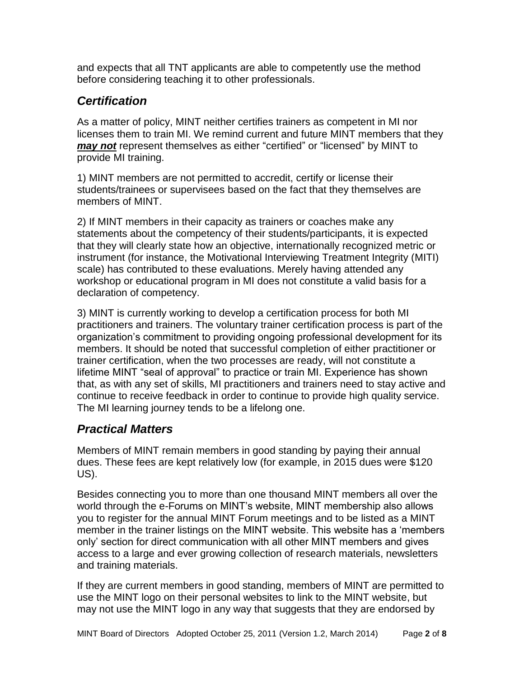and expects that all TNT applicants are able to competently use the method before considering teaching it to other professionals.

## *Certification*

As a matter of policy, MINT neither certifies trainers as competent in MI nor licenses them to train MI. We remind current and future MINT members that they *may not* represent themselves as either "certified" or "licensed" by MINT to provide MI training.

1) MINT members are not permitted to accredit, certify or license their students/trainees or supervisees based on the fact that they themselves are members of MINT.

2) If MINT members in their capacity as trainers or coaches make any statements about the competency of their students/participants, it is expected that they will clearly state how an objective, internationally recognized metric or instrument (for instance, the Motivational Interviewing Treatment Integrity (MITI) scale) has contributed to these evaluations. Merely having attended any workshop or educational program in MI does not constitute a valid basis for a declaration of competency.

3) MINT is currently working to develop a certification process for both MI practitioners and trainers. The voluntary trainer certification process is part of the organization's commitment to providing ongoing professional development for its members. It should be noted that successful completion of either practitioner or trainer certification, when the two processes are ready, will not constitute a lifetime MINT "seal of approval" to practice or train MI. Experience has shown that, as with any set of skills, MI practitioners and trainers need to stay active and continue to receive feedback in order to continue to provide high quality service. The MI learning journey tends to be a lifelong one.

### *Practical Matters*

Members of MINT remain members in good standing by paying their annual dues. These fees are kept relatively low (for example, in 2015 dues were \$120 US).

Besides connecting you to more than one thousand MINT members all over the world through the e-Forums on MINT's website, MINT membership also allows you to register for the annual MINT Forum meetings and to be listed as a MINT member in the trainer listings on the MINT website. This website has a 'members only' section for direct communication with all other MINT members and gives access to a large and ever growing collection of research materials, newsletters and training materials.

If they are current members in good standing, members of MINT are permitted to use the MINT logo on their personal websites to link to the MINT website, but may not use the MINT logo in any way that suggests that they are endorsed by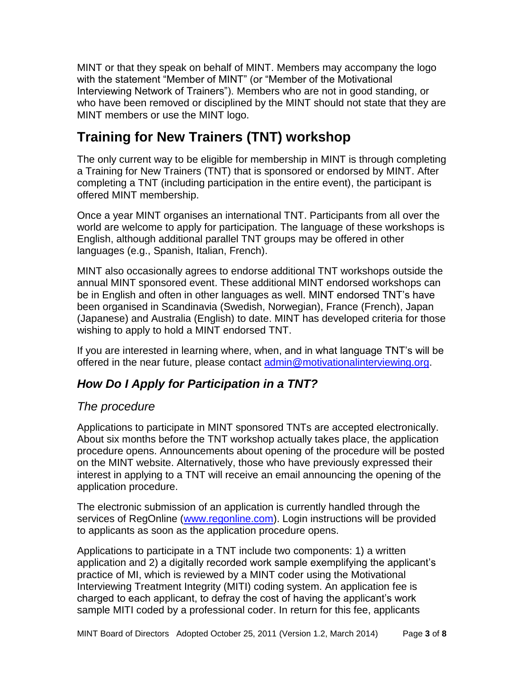MINT or that they speak on behalf of MINT. Members may accompany the logo with the statement "Member of MINT" (or "Member of the Motivational Interviewing Network of Trainers"). Members who are not in good standing, or who have been removed or disciplined by the MINT should not state that they are MINT members or use the MINT logo.

## **Training for New Trainers (TNT) workshop**

The only current way to be eligible for membership in MINT is through completing a Training for New Trainers (TNT) that is sponsored or endorsed by MINT. After completing a TNT (including participation in the entire event), the participant is offered MINT membership.

Once a year MINT organises an international TNT. Participants from all over the world are welcome to apply for participation. The language of these workshops is English, although additional parallel TNT groups may be offered in other languages (e.g., Spanish, Italian, French).

MINT also occasionally agrees to endorse additional TNT workshops outside the annual MINT sponsored event. These additional MINT endorsed workshops can be in English and often in other languages as well. MINT endorsed TNT's have been organised in Scandinavia (Swedish, Norwegian), France (French), Japan (Japanese) and Australia (English) to date. MINT has developed criteria for those wishing to apply to hold a MINT endorsed TNT.

If you are interested in learning where, when, and in what language TNT's will be offered in the near future, please contact [admin@motivationalinterviewing.org.](mailto:admin@motivationalinterviewing.org)

## *How Do I Apply for Participation in a TNT?*

### *The procedure*

Applications to participate in MINT sponsored TNTs are accepted electronically. About six months before the TNT workshop actually takes place, the application procedure opens. Announcements about opening of the procedure will be posted on the MINT website. Alternatively, those who have previously expressed their interest in applying to a TNT will receive an email announcing the opening of the application procedure.

The electronic submission of an application is currently handled through the services of RegOnline [\(www.regonline.com\)](http://www.regonline.com/). Login instructions will be provided to applicants as soon as the application procedure opens.

Applications to participate in a TNT include two components: 1) a written application and 2) a digitally recorded work sample exemplifying the applicant's practice of MI, which is reviewed by a MINT coder using the Motivational Interviewing Treatment Integrity (MITI) coding system. An application fee is charged to each applicant, to defray the cost of having the applicant's work sample MITI coded by a professional coder. In return for this fee, applicants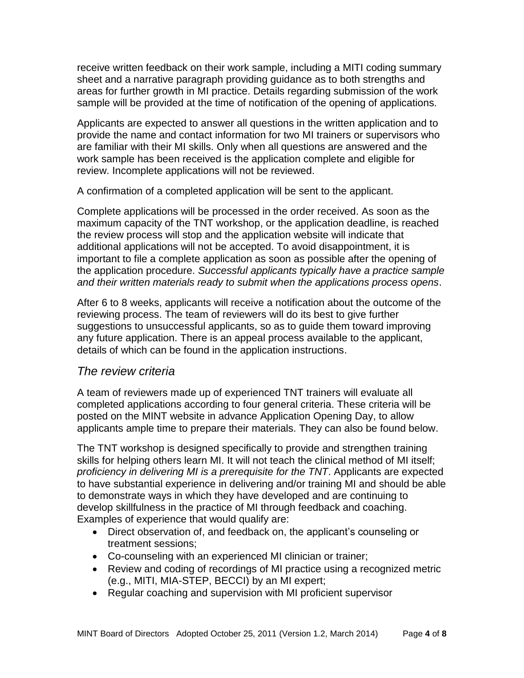receive written feedback on their work sample, including a MITI coding summary sheet and a narrative paragraph providing guidance as to both strengths and areas for further growth in MI practice. Details regarding submission of the work sample will be provided at the time of notification of the opening of applications.

Applicants are expected to answer all questions in the written application and to provide the name and contact information for two MI trainers or supervisors who are familiar with their MI skills. Only when all questions are answered and the work sample has been received is the application complete and eligible for review. Incomplete applications will not be reviewed.

A confirmation of a completed application will be sent to the applicant.

Complete applications will be processed in the order received. As soon as the maximum capacity of the TNT workshop, or the application deadline, is reached the review process will stop and the application website will indicate that additional applications will not be accepted. To avoid disappointment, it is important to file a complete application as soon as possible after the opening of the application procedure. *Successful applicants typically have a practice sample and their written materials ready to submit when the applications process opens*.

After 6 to 8 weeks, applicants will receive a notification about the outcome of the reviewing process. The team of reviewers will do its best to give further suggestions to unsuccessful applicants, so as to guide them toward improving any future application. There is an appeal process available to the applicant, details of which can be found in the application instructions.

#### *The review criteria*

A team of reviewers made up of experienced TNT trainers will evaluate all completed applications according to four general criteria. These criteria will be posted on the MINT website in advance Application Opening Day, to allow applicants ample time to prepare their materials. They can also be found below.

The TNT workshop is designed specifically to provide and strengthen training skills for helping others learn MI. It will not teach the clinical method of MI itself; *proficiency in delivering MI is a prerequisite for the TNT*. Applicants are expected to have substantial experience in delivering and/or training MI and should be able to demonstrate ways in which they have developed and are continuing to develop skillfulness in the practice of MI through feedback and coaching. Examples of experience that would qualify are:

- Direct observation of, and feedback on, the applicant's counseling or treatment sessions;
- Co-counseling with an experienced MI clinician or trainer;
- Review and coding of recordings of MI practice using a recognized metric (e.g., MITI, MIA-STEP, BECCI) by an MI expert;
- Regular coaching and supervision with MI proficient supervisor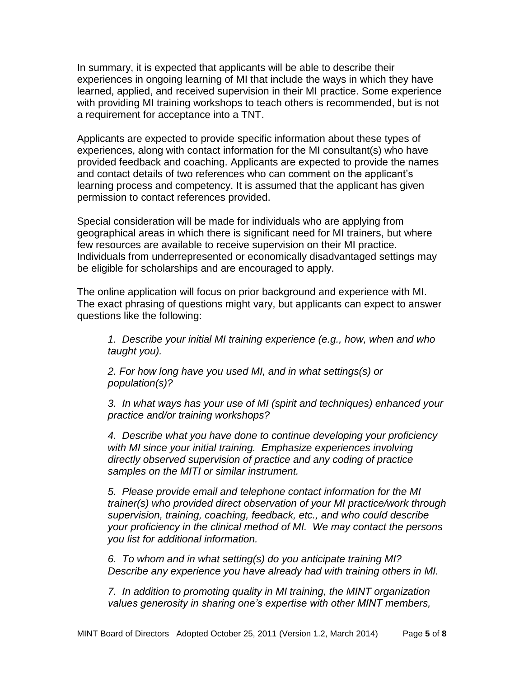In summary, it is expected that applicants will be able to describe their experiences in ongoing learning of MI that include the ways in which they have learned, applied, and received supervision in their MI practice. Some experience with providing MI training workshops to teach others is recommended, but is not a requirement for acceptance into a TNT.

Applicants are expected to provide specific information about these types of experiences, along with contact information for the MI consultant(s) who have provided feedback and coaching. Applicants are expected to provide the names and contact details of two references who can comment on the applicant's learning process and competency. It is assumed that the applicant has given permission to contact references provided.

Special consideration will be made for individuals who are applying from geographical areas in which there is significant need for MI trainers, but where few resources are available to receive supervision on their MI practice. Individuals from underrepresented or economically disadvantaged settings may be eligible for scholarships and are encouraged to apply.

The online application will focus on prior background and experience with MI. The exact phrasing of questions might vary, but applicants can expect to answer questions like the following:

*1. Describe your initial MI training experience (e.g., how, when and who taught you).* 

*2. For how long have you used MI, and in what settings(s) or population(s)?*

*3. In what ways has your use of MI (spirit and techniques) enhanced your practice and/or training workshops?*

*4. Describe what you have done to continue developing your proficiency with MI since your initial training. Emphasize experiences involving directly observed supervision of practice and any coding of practice samples on the MITI or similar instrument.*

*5. Please provide email and telephone contact information for the MI trainer(s) who provided direct observation of your MI practice/work through supervision, training, coaching, feedback, etc., and who could describe your proficiency in the clinical method of MI. We may contact the persons you list for additional information.* 

*6. To whom and in what setting(s) do you anticipate training MI? Describe any experience you have already had with training others in MI.* 

*7. In addition to promoting quality in MI training, the MINT organization values generosity in sharing one's expertise with other MINT members,*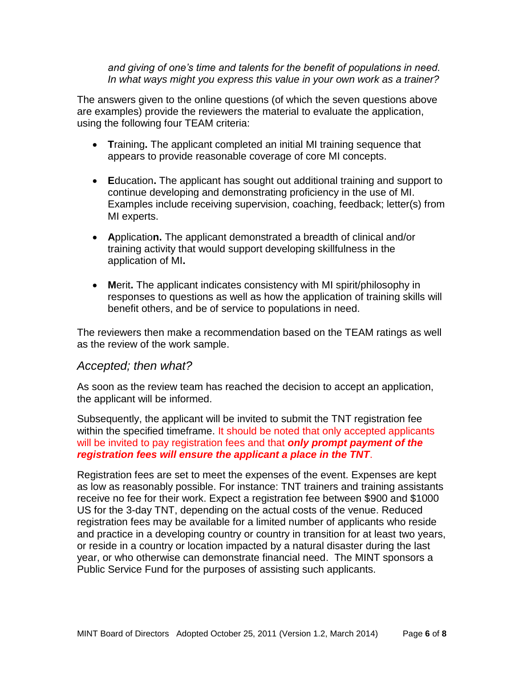*and giving of one's time and talents for the benefit of populations in need. In what ways might you express this value in your own work as a trainer?*

The answers given to the online questions (of which the seven questions above are examples) provide the reviewers the material to evaluate the application, using the following four TEAM criteria:

- **T**raining**.** The applicant completed an initial MI training sequence that appears to provide reasonable coverage of core MI concepts.
- **E**ducation**.** The applicant has sought out additional training and support to continue developing and demonstrating proficiency in the use of MI. Examples include receiving supervision, coaching, feedback; letter(s) from MI experts.
- **A**pplicatio**n.** The applicant demonstrated a breadth of clinical and/or training activity that would support developing skillfulness in the application of MI**.**
- **M**erit**.** The applicant indicates consistency with MI spirit/philosophy in responses to questions as well as how the application of training skills will benefit others, and be of service to populations in need.

The reviewers then make a recommendation based on the TEAM ratings as well as the review of the work sample.

#### *Accepted; then what?*

As soon as the review team has reached the decision to accept an application, the applicant will be informed.

Subsequently, the applicant will be invited to submit the TNT registration fee within the specified timeframe. It should be noted that only accepted applicants will be invited to pay registration fees and that *only prompt payment of the registration fees will ensure the applicant a place in the TNT*.

Registration fees are set to meet the expenses of the event. Expenses are kept as low as reasonably possible. For instance: TNT trainers and training assistants receive no fee for their work. Expect a registration fee between \$900 and \$1000 US for the 3-day TNT, depending on the actual costs of the venue. Reduced registration fees may be available for a limited number of applicants who reside and practice in a developing country or country in transition for at least two years, or reside in a country or location impacted by a natural disaster during the last year, or who otherwise can demonstrate financial need. The MINT sponsors a Public Service Fund for the purposes of assisting such applicants.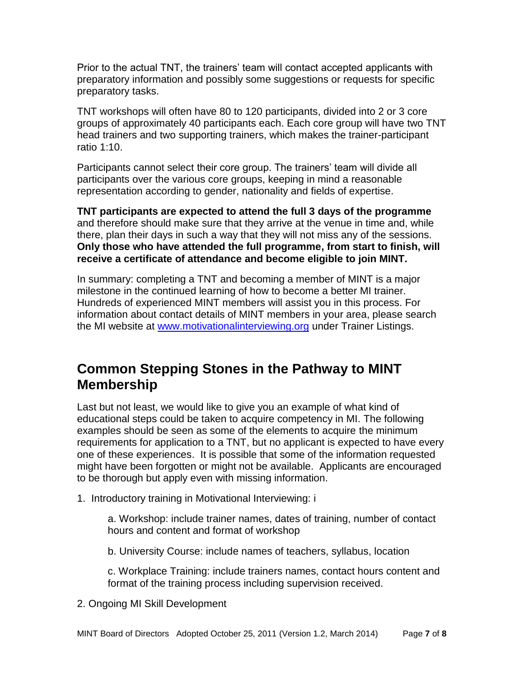Prior to the actual TNT, the trainers' team will contact accepted applicants with preparatory information and possibly some suggestions or requests for specific preparatory tasks.

TNT workshops will often have 80 to 120 participants, divided into 2 or 3 core groups of approximately 40 participants each. Each core group will have two TNT head trainers and two supporting trainers, which makes the trainer-participant ratio 1:10.

Participants cannot select their core group. The trainers' team will divide all participants over the various core groups, keeping in mind a reasonable representation according to gender, nationality and fields of expertise.

**TNT participants are expected to attend the full 3 days of the programme** and therefore should make sure that they arrive at the venue in time and, while there, plan their days in such a way that they will not miss any of the sessions. **Only those who have attended the full programme, from start to finish, will receive a certificate of attendance and become eligible to join MINT.**

In summary: completing a TNT and becoming a member of MINT is a major milestone in the continued learning of how to become a better MI trainer. Hundreds of experienced MINT members will assist you in this process. For information about contact details of MINT members in your area, please search the MI website at [www.motivationalinterviewing.org](http://www.motivationalinterviewing.org/) under Trainer Listings.

## **Common Stepping Stones in the Pathway to MINT Membership**

Last but not least, we would like to give you an example of what kind of educational steps could be taken to acquire competency in MI. The following examples should be seen as some of the elements to acquire the minimum requirements for application to a TNT, but no applicant is expected to have every one of these experiences. It is possible that some of the information requested might have been forgotten or might not be available. Applicants are encouraged to be thorough but apply even with missing information.

1. Introductory training in Motivational Interviewing: i

a. Workshop: include trainer names, dates of training, number of contact hours and content and format of workshop

b. University Course: include names of teachers, syllabus, location

c. Workplace Training: include trainers names, contact hours content and format of the training process including supervision received.

2. Ongoing MI Skill Development